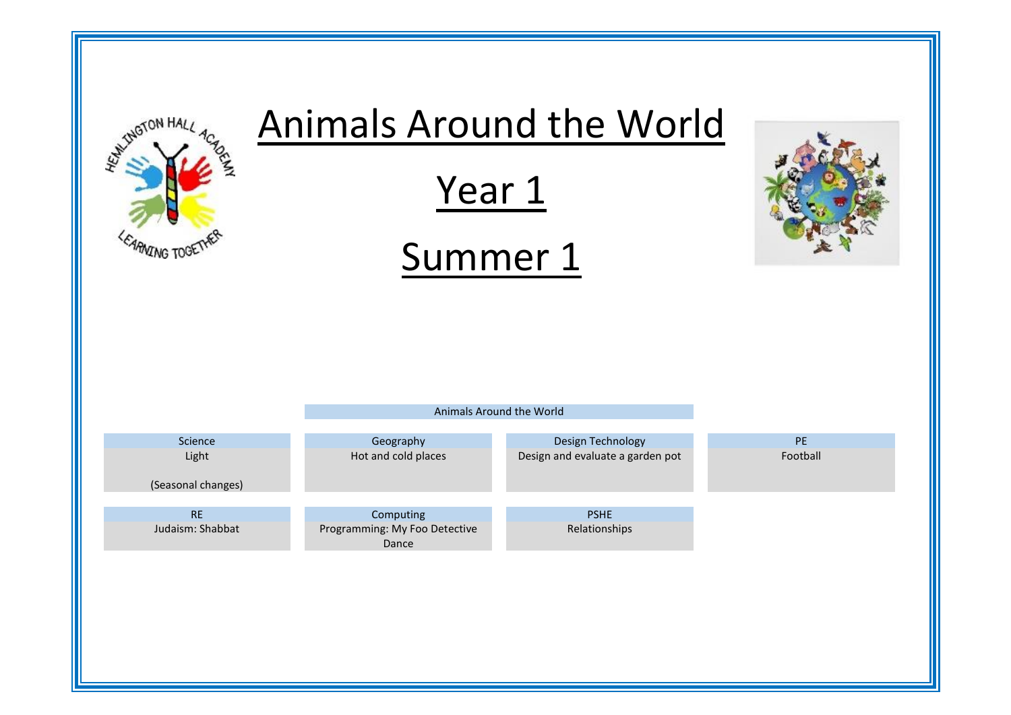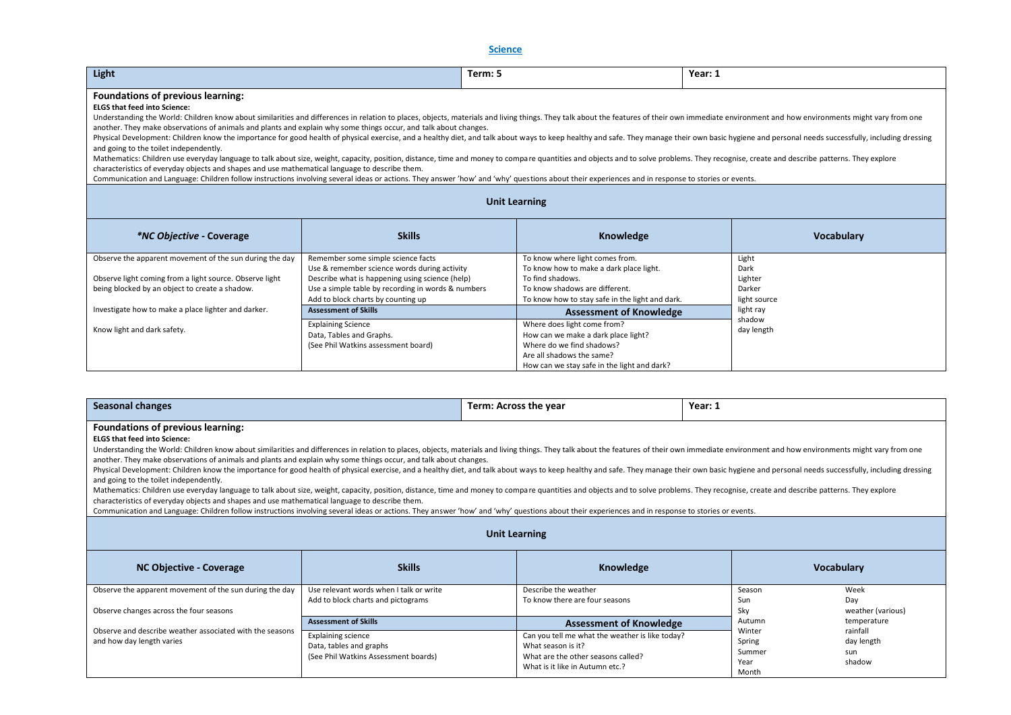**Science** 

| Light                                                                                                                                                                                                                                                                                                                                                                                                                                                                                                                                                                                                                                                                                                                                                                                                                                                                                                                                                                                                                                                                                                                                                                                                                                                                      |                                                                                                                                                                                                                                   | Term: 5                                                                                                                                                                             | Year: 1                                            |                   |
|----------------------------------------------------------------------------------------------------------------------------------------------------------------------------------------------------------------------------------------------------------------------------------------------------------------------------------------------------------------------------------------------------------------------------------------------------------------------------------------------------------------------------------------------------------------------------------------------------------------------------------------------------------------------------------------------------------------------------------------------------------------------------------------------------------------------------------------------------------------------------------------------------------------------------------------------------------------------------------------------------------------------------------------------------------------------------------------------------------------------------------------------------------------------------------------------------------------------------------------------------------------------------|-----------------------------------------------------------------------------------------------------------------------------------------------------------------------------------------------------------------------------------|-------------------------------------------------------------------------------------------------------------------------------------------------------------------------------------|----------------------------------------------------|-------------------|
| Foundations of previous learning:<br><b>ELGS that feed into Science:</b><br>Understanding the World: Children know about similarities and differences in relation to places, objects, materials and living things. They talk about the features of their own immediate environment and how environments mi<br>another. They make observations of animals and plants and explain why some things occur, and talk about changes.<br>Physical Development: Children know the importance for good health of physical exercise, and a healthy diet, and talk about ways to keep healthy and safe. They manage their own basic hygiene and personal needs successfully<br>and going to the toilet independently.<br>Mathematics: Children use everyday language to talk about size, weight, capacity, position, distance, time and money to compare quantities and objects and to solve problems. They recognise, create and describe patterns. Th<br>characteristics of everyday objects and shapes and use mathematical language to describe them.<br>Communication and Language: Children follow instructions involving several ideas or actions. They answer 'how' and 'why' questions about their experiences and in response to stories or events.<br><b>Unit Learning</b> |                                                                                                                                                                                                                                   |                                                                                                                                                                                     |                                                    |                   |
|                                                                                                                                                                                                                                                                                                                                                                                                                                                                                                                                                                                                                                                                                                                                                                                                                                                                                                                                                                                                                                                                                                                                                                                                                                                                            |                                                                                                                                                                                                                                   |                                                                                                                                                                                     |                                                    |                   |
| <i>*NC Objective - Coverage</i>                                                                                                                                                                                                                                                                                                                                                                                                                                                                                                                                                                                                                                                                                                                                                                                                                                                                                                                                                                                                                                                                                                                                                                                                                                            | <b>Skills</b>                                                                                                                                                                                                                     | Knowledge                                                                                                                                                                           |                                                    | <b>Vocabulary</b> |
| Observe the apparent movement of the sun during the day<br>Observe light coming from a light source. Observe light<br>being blocked by an object to create a shadow.                                                                                                                                                                                                                                                                                                                                                                                                                                                                                                                                                                                                                                                                                                                                                                                                                                                                                                                                                                                                                                                                                                       | Remember some simple science facts<br>Use & remember science words during activity<br>Describe what is happening using science (help)<br>Use a simple table by recording in words & numbers<br>Add to block charts by counting up | To know where light comes from.<br>To know how to make a dark place light.<br>To find shadows.<br>To know shadows are different.<br>To know how to stay safe in the light and dark. | Light<br>Dark<br>Lighter<br>Darker<br>light source |                   |
| Investigate how to make a place lighter and darker.                                                                                                                                                                                                                                                                                                                                                                                                                                                                                                                                                                                                                                                                                                                                                                                                                                                                                                                                                                                                                                                                                                                                                                                                                        | <b>Assessment of Skills</b>                                                                                                                                                                                                       | <b>Assessment of Knowledge</b>                                                                                                                                                      | light ray                                          |                   |
| Know light and dark safety.                                                                                                                                                                                                                                                                                                                                                                                                                                                                                                                                                                                                                                                                                                                                                                                                                                                                                                                                                                                                                                                                                                                                                                                                                                                | <b>Explaining Science</b><br>Data, Tables and Graphs.<br>(See Phil Watkins assessment board)                                                                                                                                      | Where does light come from?<br>How can we make a dark place light?<br>Where do we find shadows?<br>Are all shadows the same?<br>How can we stay safe in the light and dark?         | shadow<br>day length                               |                   |

| Year: 1<br>Seasonal changes<br>Term: Across the year                                                                                                                                                                                                                                                                                                                                                                                                                                                                                                                                                                                                                                                                                                                                                                                                                                                                                                                                                                                                                                                                                                                                                                                               |                                                                                                                             |                                                                                                                                                                                  |                                                       |                                                        |  |
|----------------------------------------------------------------------------------------------------------------------------------------------------------------------------------------------------------------------------------------------------------------------------------------------------------------------------------------------------------------------------------------------------------------------------------------------------------------------------------------------------------------------------------------------------------------------------------------------------------------------------------------------------------------------------------------------------------------------------------------------------------------------------------------------------------------------------------------------------------------------------------------------------------------------------------------------------------------------------------------------------------------------------------------------------------------------------------------------------------------------------------------------------------------------------------------------------------------------------------------------------|-----------------------------------------------------------------------------------------------------------------------------|----------------------------------------------------------------------------------------------------------------------------------------------------------------------------------|-------------------------------------------------------|--------------------------------------------------------|--|
| Foundations of previous learning:<br><b>ELGS that feed into Science:</b><br>Understanding the World: Children know about similarities and differences in relation to places, objects, materials and living things. They talk about the features of their own immediate environment and how environments mi<br>another. They make observations of animals and plants and explain why some things occur, and talk about changes.<br>Physical Development: Children know the importance for good health of physical exercise, and a healthy diet, and talk about ways to keep healthy and safe. They manage their own basic hygiene and personal needs successfully<br>and going to the toilet independently.<br>Mathematics: Children use everyday language to talk about size, weight, capacity, position, distance, time and money to compare quantities and objects and to solve problems. They recognise, create and describe patterns. Th<br>characteristics of everyday objects and shapes and use mathematical language to describe them.<br>Communication and Language: Children follow instructions involving several ideas or actions. They answer 'how' and 'why' questions about their experiences and in response to stories or events. |                                                                                                                             |                                                                                                                                                                                  |                                                       |                                                        |  |
|                                                                                                                                                                                                                                                                                                                                                                                                                                                                                                                                                                                                                                                                                                                                                                                                                                                                                                                                                                                                                                                                                                                                                                                                                                                    | <b>Unit Learning</b>                                                                                                        |                                                                                                                                                                                  |                                                       |                                                        |  |
| <b>NC Objective - Coverage</b>                                                                                                                                                                                                                                                                                                                                                                                                                                                                                                                                                                                                                                                                                                                                                                                                                                                                                                                                                                                                                                                                                                                                                                                                                     | <b>Skills</b>                                                                                                               | Knowledge                                                                                                                                                                        |                                                       | <b>Vocabulary</b>                                      |  |
| Observe the apparent movement of the sun during the day<br>Observe changes across the four seasons                                                                                                                                                                                                                                                                                                                                                                                                                                                                                                                                                                                                                                                                                                                                                                                                                                                                                                                                                                                                                                                                                                                                                 | Use relevant words when I talk or write<br>Add to block charts and pictograms                                               | Describe the weather<br>To know there are four seasons                                                                                                                           | Season<br>Sun<br>Sky                                  | Week<br>Day<br>weather (various)                       |  |
| Observe and describe weather associated with the seasons<br>and how day length varies                                                                                                                                                                                                                                                                                                                                                                                                                                                                                                                                                                                                                                                                                                                                                                                                                                                                                                                                                                                                                                                                                                                                                              | <b>Assessment of Skills</b><br><b>Explaining science</b><br>Data, tables and graphs<br>(See Phil Watkins Assessment boards) | <b>Assessment of Knowledge</b><br>Can you tell me what the weather is like today?<br>What season is it?<br>What are the other seasons called?<br>What is it like in Autumn etc.? | Autumn<br>Winter<br>Spring<br>Summer<br>Year<br>Month | temperature<br>rainfall<br>day length<br>sun<br>shadow |  |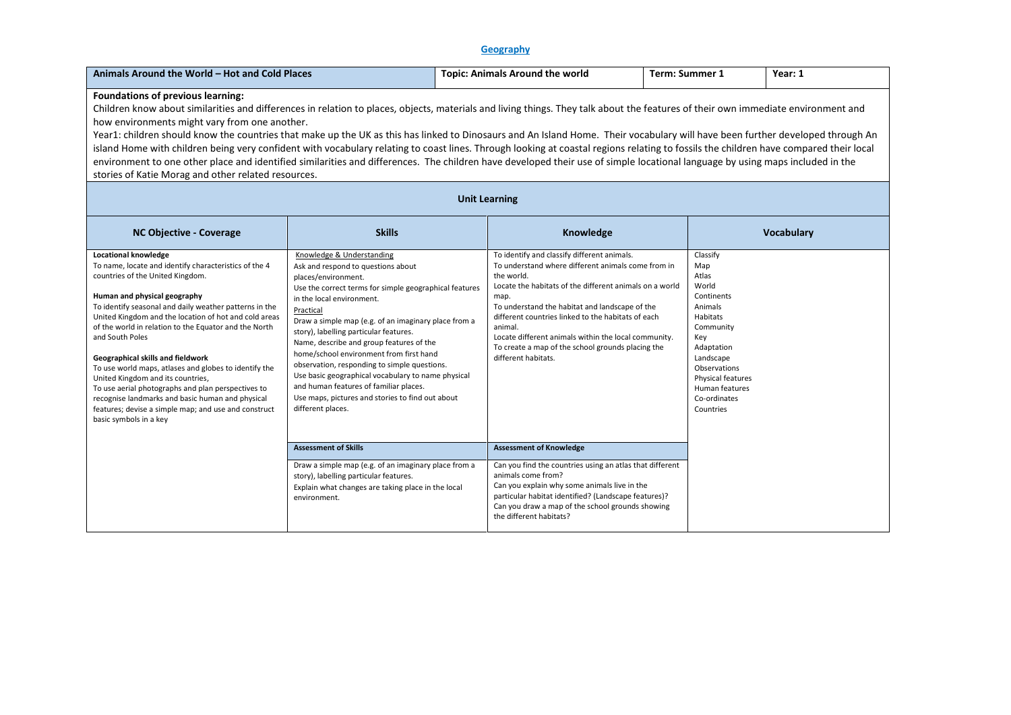# **Geography**

| Animals Around the World - Hot and Cold Places                                                                                                                                                                                                                                                                                                                                                                                                                                                                                                                                                                                                                                                                                                                                                                                                                                                                     |                                                                                                                                                                                                                                                                                                                                                                                                                                                                                                                                                                                                              |  | <b>Topic: Animals Around the world</b>                                                                                                                                                                                                                                                                                                                                                                                                    | <b>Term: Summer 1</b> |                                                                                                                                                                                                           | Year: 1           |
|--------------------------------------------------------------------------------------------------------------------------------------------------------------------------------------------------------------------------------------------------------------------------------------------------------------------------------------------------------------------------------------------------------------------------------------------------------------------------------------------------------------------------------------------------------------------------------------------------------------------------------------------------------------------------------------------------------------------------------------------------------------------------------------------------------------------------------------------------------------------------------------------------------------------|--------------------------------------------------------------------------------------------------------------------------------------------------------------------------------------------------------------------------------------------------------------------------------------------------------------------------------------------------------------------------------------------------------------------------------------------------------------------------------------------------------------------------------------------------------------------------------------------------------------|--|-------------------------------------------------------------------------------------------------------------------------------------------------------------------------------------------------------------------------------------------------------------------------------------------------------------------------------------------------------------------------------------------------------------------------------------------|-----------------------|-----------------------------------------------------------------------------------------------------------------------------------------------------------------------------------------------------------|-------------------|
| Foundations of previous learning:<br>Children know about similarities and differences in relation to places, objects, materials and living things. They talk about the features of their own immediate environment and<br>how environments might vary from one another.<br>Year1: children should know the countries that make up the UK as this has linked to Dinosaurs and An Island Home. Their vocabulary will have been further developed through An<br>island Home with children being very confident with vocabulary relating to coast lines. Through looking at coastal regions relating to fossils the children have compared their local<br>environment to one other place and identified similarities and differences. The children have developed their use of simple locational language by using maps included in the<br>stories of Katie Morag and other related resources.<br><b>Unit Learning</b> |                                                                                                                                                                                                                                                                                                                                                                                                                                                                                                                                                                                                              |  |                                                                                                                                                                                                                                                                                                                                                                                                                                           |                       |                                                                                                                                                                                                           |                   |
| <b>NC Objective - Coverage</b>                                                                                                                                                                                                                                                                                                                                                                                                                                                                                                                                                                                                                                                                                                                                                                                                                                                                                     | <b>Skills</b>                                                                                                                                                                                                                                                                                                                                                                                                                                                                                                                                                                                                |  | Knowledge                                                                                                                                                                                                                                                                                                                                                                                                                                 |                       |                                                                                                                                                                                                           | <b>Vocabulary</b> |
| <b>Locational knowledge</b><br>To name, locate and identify characteristics of the 4<br>countries of the United Kingdom.<br>Human and physical geography<br>To identify seasonal and daily weather patterns in the<br>United Kingdom and the location of hot and cold areas<br>of the world in relation to the Equator and the North<br>and South Poles<br>Geographical skills and fieldwork<br>To use world maps, atlases and globes to identify the<br>United Kingdom and its countries,<br>To use aerial photographs and plan perspectives to<br>recognise landmarks and basic human and physical<br>features; devise a simple map; and use and construct<br>basic symbols in a key                                                                                                                                                                                                                             | Knowledge & Understanding<br>Ask and respond to questions about<br>places/environment.<br>Use the correct terms for simple geographical features<br>in the local environment.<br>Practical<br>Draw a simple map (e.g. of an imaginary place from a<br>story), labelling particular features.<br>Name, describe and group features of the<br>home/school environment from first hand<br>observation, responding to simple questions.<br>Use basic geographical vocabulary to name physical<br>and human features of familiar places.<br>Use maps, pictures and stories to find out about<br>different places. |  | To identify and classify different animals.<br>To understand where different animals come from in<br>the world.<br>Locate the habitats of the different animals on a world<br>map.<br>To understand the habitat and landscape of the<br>different countries linked to the habitats of each<br>animal.<br>Locate different animals within the local community.<br>To create a map of the school grounds placing the<br>different habitats. |                       | Classify<br>Map<br>Atlas<br>World<br>Continents<br>Animals<br>Habitats<br>Community<br>Key<br>Adaptation<br>Landscape<br>Observations<br>Physical features<br>Human features<br>Co-ordinates<br>Countries |                   |
|                                                                                                                                                                                                                                                                                                                                                                                                                                                                                                                                                                                                                                                                                                                                                                                                                                                                                                                    | <b>Assessment of Skills</b><br>Draw a simple map (e.g. of an imaginary place from a<br>story), labelling particular features.<br>Explain what changes are taking place in the local<br>environment.                                                                                                                                                                                                                                                                                                                                                                                                          |  | <b>Assessment of Knowledge</b><br>Can you find the countries using an atlas that different<br>animals come from?<br>Can you explain why some animals live in the<br>particular habitat identified? (Landscape features)?<br>Can you draw a map of the school grounds showing<br>the different habitats?                                                                                                                                   |                       |                                                                                                                                                                                                           |                   |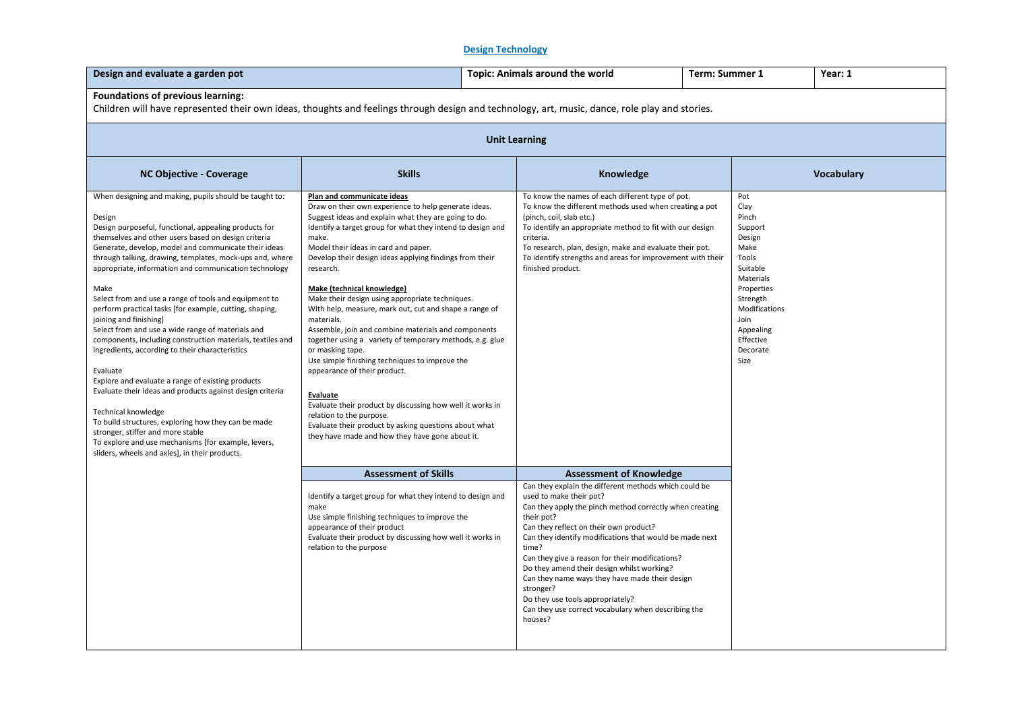# **Design Technology**

| Design and evaluate a garden pot                                                                                                                                                                                                                                                                                                                                                                                                                                                                                                                                                                                                                                                                                                                                                                                                                                                                                                                                                                                                                    |                                                                                                                                                                                                                                                                                                                                                                                                                                                                                                                                                                                                                                                                                                                                                                                                                                                                                                                                             | <b>Topic: Animals around the world</b> |                                                                                                                                                                                                                                                                                                                                                                                                                                                                                                                                               | Term: Summer 1 |                                                                                                                                                                                      | Year: 1           |
|-----------------------------------------------------------------------------------------------------------------------------------------------------------------------------------------------------------------------------------------------------------------------------------------------------------------------------------------------------------------------------------------------------------------------------------------------------------------------------------------------------------------------------------------------------------------------------------------------------------------------------------------------------------------------------------------------------------------------------------------------------------------------------------------------------------------------------------------------------------------------------------------------------------------------------------------------------------------------------------------------------------------------------------------------------|---------------------------------------------------------------------------------------------------------------------------------------------------------------------------------------------------------------------------------------------------------------------------------------------------------------------------------------------------------------------------------------------------------------------------------------------------------------------------------------------------------------------------------------------------------------------------------------------------------------------------------------------------------------------------------------------------------------------------------------------------------------------------------------------------------------------------------------------------------------------------------------------------------------------------------------------|----------------------------------------|-----------------------------------------------------------------------------------------------------------------------------------------------------------------------------------------------------------------------------------------------------------------------------------------------------------------------------------------------------------------------------------------------------------------------------------------------------------------------------------------------------------------------------------------------|----------------|--------------------------------------------------------------------------------------------------------------------------------------------------------------------------------------|-------------------|
| Foundations of previous learning:<br>Children will have represented their own ideas, thoughts and feelings through design and technology, art, music, dance, role play and stories.                                                                                                                                                                                                                                                                                                                                                                                                                                                                                                                                                                                                                                                                                                                                                                                                                                                                 |                                                                                                                                                                                                                                                                                                                                                                                                                                                                                                                                                                                                                                                                                                                                                                                                                                                                                                                                             |                                        |                                                                                                                                                                                                                                                                                                                                                                                                                                                                                                                                               |                |                                                                                                                                                                                      |                   |
|                                                                                                                                                                                                                                                                                                                                                                                                                                                                                                                                                                                                                                                                                                                                                                                                                                                                                                                                                                                                                                                     | <b>Unit Learning</b>                                                                                                                                                                                                                                                                                                                                                                                                                                                                                                                                                                                                                                                                                                                                                                                                                                                                                                                        |                                        |                                                                                                                                                                                                                                                                                                                                                                                                                                                                                                                                               |                |                                                                                                                                                                                      |                   |
| <b>NC Objective - Coverage</b>                                                                                                                                                                                                                                                                                                                                                                                                                                                                                                                                                                                                                                                                                                                                                                                                                                                                                                                                                                                                                      | <b>Skills</b>                                                                                                                                                                                                                                                                                                                                                                                                                                                                                                                                                                                                                                                                                                                                                                                                                                                                                                                               |                                        | Knowledge                                                                                                                                                                                                                                                                                                                                                                                                                                                                                                                                     |                |                                                                                                                                                                                      | <b>Vocabulary</b> |
| When designing and making, pupils should be taught to:<br>Design<br>Design purposeful, functional, appealing products for<br>themselves and other users based on design criteria<br>Generate, develop, model and communicate their ideas<br>through talking, drawing, templates, mock-ups and, where<br>appropriate, information and communication technology<br>Make<br>Select from and use a range of tools and equipment to<br>perform practical tasks [for example, cutting, shaping,<br>joining and finishing]<br>Select from and use a wide range of materials and<br>components, including construction materials, textiles and<br>ingredients, according to their characteristics<br>Evaluate<br>Explore and evaluate a range of existing products<br>Evaluate their ideas and products against design criteria<br>Technical knowledge<br>To build structures, exploring how they can be made<br>stronger, stiffer and more stable<br>To explore and use mechanisms [for example, levers,<br>sliders, wheels and axles], in their products. | Plan and communicate ideas<br>Draw on their own experience to help generate ideas.<br>Suggest ideas and explain what they are going to do.<br>Identify a target group for what they intend to design and<br>make.<br>Model their ideas in card and paper.<br>Develop their design ideas applying findings from their<br>research.<br>Make (technical knowledge)<br>Make their design using appropriate techniques.<br>With help, measure, mark out, cut and shape a range of<br>materials.<br>Assemble, join and combine materials and components<br>together using a variety of temporary methods, e.g. glue<br>or masking tape.<br>Use simple finishing techniques to improve the<br>appearance of their product.<br><b>Evaluate</b><br>Evaluate their product by discussing how well it works in<br>relation to the purpose.<br>Evaluate their product by asking questions about what<br>they have made and how they have gone about it. |                                        | To know the names of each different type of pot.<br>To know the different methods used when creating a pot<br>(pinch, coil, slab etc.)<br>To identify an appropriate method to fit with our design<br>criteria.<br>To research, plan, design, make and evaluate their pot.<br>To identify strengths and areas for improvement with their<br>finished product.                                                                                                                                                                                 |                | Pot<br>Clay<br>Pinch<br>Support<br>Design<br>Make<br>Tools<br>Suitable<br>Materials<br>Properties<br>Strength<br>Modifications<br>Join<br>Appealing<br>Effective<br>Decorate<br>Size |                   |
|                                                                                                                                                                                                                                                                                                                                                                                                                                                                                                                                                                                                                                                                                                                                                                                                                                                                                                                                                                                                                                                     | <b>Assessment of Skills</b>                                                                                                                                                                                                                                                                                                                                                                                                                                                                                                                                                                                                                                                                                                                                                                                                                                                                                                                 |                                        | <b>Assessment of Knowledge</b>                                                                                                                                                                                                                                                                                                                                                                                                                                                                                                                |                |                                                                                                                                                                                      |                   |
|                                                                                                                                                                                                                                                                                                                                                                                                                                                                                                                                                                                                                                                                                                                                                                                                                                                                                                                                                                                                                                                     | Identify a target group for what they intend to design and<br>make<br>Use simple finishing techniques to improve the<br>appearance of their product<br>Evaluate their product by discussing how well it works in<br>relation to the purpose                                                                                                                                                                                                                                                                                                                                                                                                                                                                                                                                                                                                                                                                                                 |                                        | Can they explain the different methods which could be<br>used to make their pot?<br>Can they apply the pinch method correctly when creating<br>their pot?<br>Can they reflect on their own product?<br>Can they identify modifications that would be made next<br>time?<br>Can they give a reason for their modifications?<br>Do they amend their design whilst working?<br>Can they name ways they have made their design<br>stronger?<br>Do they use tools appropriately?<br>Can they use correct vocabulary when describing the<br>houses? |                |                                                                                                                                                                                      |                   |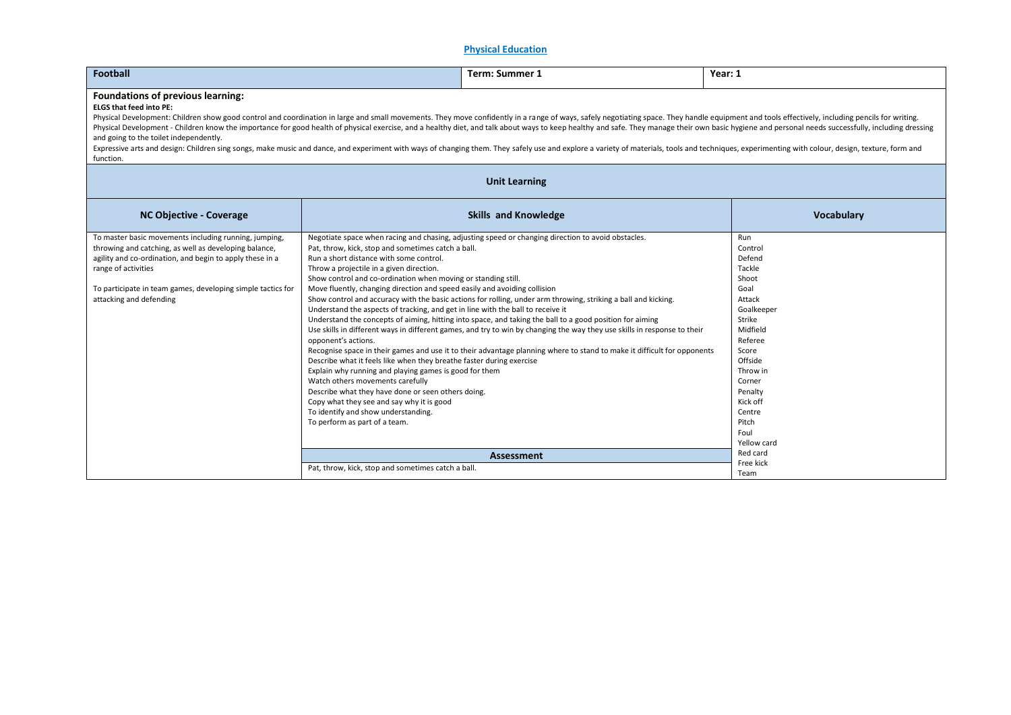### **Physical Education**

| Football                                                                                                                                                                                                                                                                                                                                                                                                                                                                                                                                                                                                                                                                                                                                                                                                                                |                                                                                                                                                                                                                                                                                                                                                                                                                                                                                                                                                                                                                                                                                                                                                    | <b>Term: Summer 1</b>                                                                                                                                                                                                                                                                                                                                                                                                                                                                                                                                                                   | Year: 1                                                                                                                                                                                                                             |  |
|-----------------------------------------------------------------------------------------------------------------------------------------------------------------------------------------------------------------------------------------------------------------------------------------------------------------------------------------------------------------------------------------------------------------------------------------------------------------------------------------------------------------------------------------------------------------------------------------------------------------------------------------------------------------------------------------------------------------------------------------------------------------------------------------------------------------------------------------|----------------------------------------------------------------------------------------------------------------------------------------------------------------------------------------------------------------------------------------------------------------------------------------------------------------------------------------------------------------------------------------------------------------------------------------------------------------------------------------------------------------------------------------------------------------------------------------------------------------------------------------------------------------------------------------------------------------------------------------------------|-----------------------------------------------------------------------------------------------------------------------------------------------------------------------------------------------------------------------------------------------------------------------------------------------------------------------------------------------------------------------------------------------------------------------------------------------------------------------------------------------------------------------------------------------------------------------------------------|-------------------------------------------------------------------------------------------------------------------------------------------------------------------------------------------------------------------------------------|--|
| <b>Foundations of previous learning:</b><br><b>ELGS that feed into PE:</b><br>Physical Development: Children show good control and coordination in large and small movements. They move confidently in a range of ways, safely negotiating space. They handle equipment and tools effectively, including pen<br>Physical Development - Children know the importance for good health of physical exercise, and a healthy diet, and talk about ways to keep healthy and safe. They manage their own basic hygiene and personal needs successfull<br>and going to the toilet independently.<br>Expressive arts and design: Children sing songs, make music and dance, and experiment with ways of changing them. They safely use and explore a variety of materials, tools and techniques, experimenting with colour, design,<br>function. |                                                                                                                                                                                                                                                                                                                                                                                                                                                                                                                                                                                                                                                                                                                                                    |                                                                                                                                                                                                                                                                                                                                                                                                                                                                                                                                                                                         |                                                                                                                                                                                                                                     |  |
|                                                                                                                                                                                                                                                                                                                                                                                                                                                                                                                                                                                                                                                                                                                                                                                                                                         |                                                                                                                                                                                                                                                                                                                                                                                                                                                                                                                                                                                                                                                                                                                                                    | <b>Unit Learning</b>                                                                                                                                                                                                                                                                                                                                                                                                                                                                                                                                                                    |                                                                                                                                                                                                                                     |  |
| <b>NC Objective - Coverage</b>                                                                                                                                                                                                                                                                                                                                                                                                                                                                                                                                                                                                                                                                                                                                                                                                          |                                                                                                                                                                                                                                                                                                                                                                                                                                                                                                                                                                                                                                                                                                                                                    | <b>Skills and Knowledge</b>                                                                                                                                                                                                                                                                                                                                                                                                                                                                                                                                                             | <b>Vocabulary</b>                                                                                                                                                                                                                   |  |
| To master basic movements including running, jumping,<br>throwing and catching, as well as developing balance,<br>agility and co-ordination, and begin to apply these in a<br>range of activities<br>To participate in team games, developing simple tactics for<br>attacking and defending                                                                                                                                                                                                                                                                                                                                                                                                                                                                                                                                             | Pat, throw, kick, stop and sometimes catch a ball.<br>Run a short distance with some control.<br>Throw a projectile in a given direction.<br>Show control and co-ordination when moving or standing still.<br>Move fluently, changing direction and speed easily and avoiding collision<br>Understand the aspects of tracking, and get in line with the ball to receive it<br>opponent's actions.<br>Describe what it feels like when they breathe faster during exercise<br>Explain why running and playing games is good for them<br>Watch others movements carefully<br>Describe what they have done or seen others doing.<br>Copy what they see and say why it is good<br>To identify and show understanding.<br>To perform as part of a team. | Negotiate space when racing and chasing, adjusting speed or changing direction to avoid obstacles.<br>Show control and accuracy with the basic actions for rolling, under arm throwing, striking a ball and kicking.<br>Understand the concepts of aiming, hitting into space, and taking the ball to a good position for aiming<br>Use skills in different ways in different games, and try to win by changing the way they use skills in response to their<br>Recognise space in their games and use it to their advantage planning where to stand to make it difficult for opponents | Run<br>Control<br>Defend<br>Tackle<br>Shoot<br>Goal<br>Attack<br>Goalkeeper<br>Strike<br>Midfield<br>Referee<br>Score<br>Offside<br>Throw in<br>Corner<br>Penalty<br>Kick off<br>Centre<br>Pitch<br>Foul<br>Yellow card<br>Red card |  |
|                                                                                                                                                                                                                                                                                                                                                                                                                                                                                                                                                                                                                                                                                                                                                                                                                                         |                                                                                                                                                                                                                                                                                                                                                                                                                                                                                                                                                                                                                                                                                                                                                    | <b>Assessment</b>                                                                                                                                                                                                                                                                                                                                                                                                                                                                                                                                                                       | Free kick                                                                                                                                                                                                                           |  |
|                                                                                                                                                                                                                                                                                                                                                                                                                                                                                                                                                                                                                                                                                                                                                                                                                                         | Pat, throw, kick, stop and sometimes catch a ball.                                                                                                                                                                                                                                                                                                                                                                                                                                                                                                                                                                                                                                                                                                 |                                                                                                                                                                                                                                                                                                                                                                                                                                                                                                                                                                                         | Team                                                                                                                                                                                                                                |  |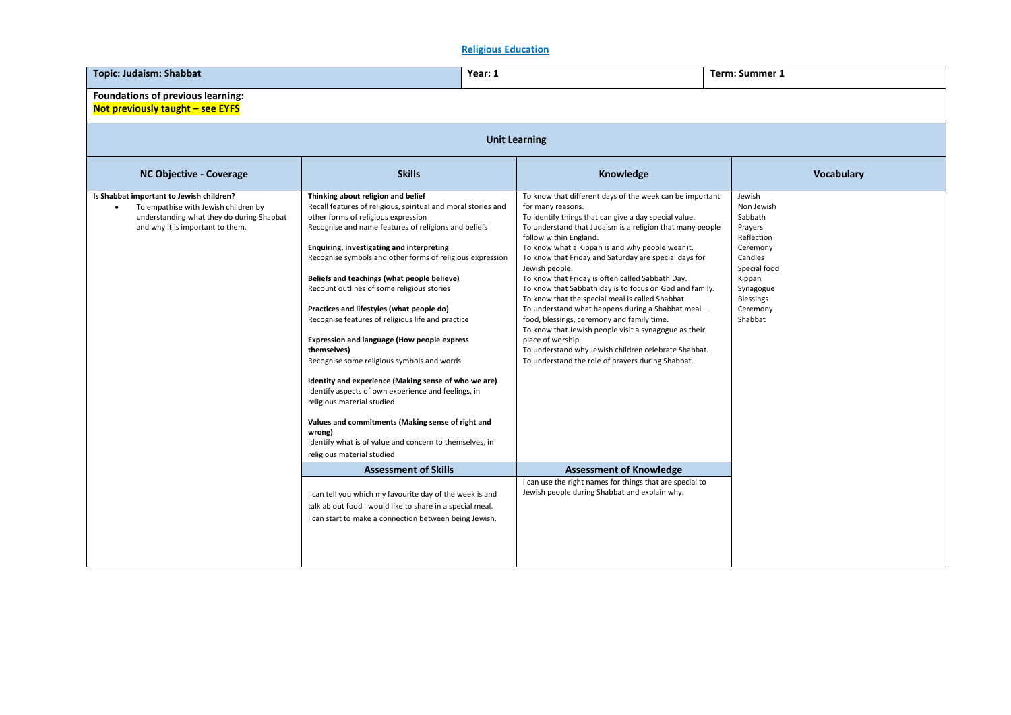# **Religious Education**

| <b>Topic: Judaism: Shabbat</b>                                                                                                                                    | Year: 1                                                                                                                                                                                                                                                                                                                                                                                                                                                                                                                                                                                                                                                                                                                                                                                                                                                                                                                      |                                                                                                                                                                                                                                                                                                                                                                                                                                                                                                                                                                                                                                                                                                                                                                                                                                | Term: Summer 1                                                                                                                                                    |  |  |
|-------------------------------------------------------------------------------------------------------------------------------------------------------------------|------------------------------------------------------------------------------------------------------------------------------------------------------------------------------------------------------------------------------------------------------------------------------------------------------------------------------------------------------------------------------------------------------------------------------------------------------------------------------------------------------------------------------------------------------------------------------------------------------------------------------------------------------------------------------------------------------------------------------------------------------------------------------------------------------------------------------------------------------------------------------------------------------------------------------|--------------------------------------------------------------------------------------------------------------------------------------------------------------------------------------------------------------------------------------------------------------------------------------------------------------------------------------------------------------------------------------------------------------------------------------------------------------------------------------------------------------------------------------------------------------------------------------------------------------------------------------------------------------------------------------------------------------------------------------------------------------------------------------------------------------------------------|-------------------------------------------------------------------------------------------------------------------------------------------------------------------|--|--|
| Foundations of previous learning:<br>Not previously taught - see EYFS                                                                                             |                                                                                                                                                                                                                                                                                                                                                                                                                                                                                                                                                                                                                                                                                                                                                                                                                                                                                                                              |                                                                                                                                                                                                                                                                                                                                                                                                                                                                                                                                                                                                                                                                                                                                                                                                                                |                                                                                                                                                                   |  |  |
|                                                                                                                                                                   | <b>Unit Learning</b>                                                                                                                                                                                                                                                                                                                                                                                                                                                                                                                                                                                                                                                                                                                                                                                                                                                                                                         |                                                                                                                                                                                                                                                                                                                                                                                                                                                                                                                                                                                                                                                                                                                                                                                                                                |                                                                                                                                                                   |  |  |
| <b>NC Objective - Coverage</b>                                                                                                                                    | <b>Skills</b>                                                                                                                                                                                                                                                                                                                                                                                                                                                                                                                                                                                                                                                                                                                                                                                                                                                                                                                | Knowledge                                                                                                                                                                                                                                                                                                                                                                                                                                                                                                                                                                                                                                                                                                                                                                                                                      | Vocabulary                                                                                                                                                        |  |  |
| Is Shabbat important to Jewish children?<br>To empathise with Jewish children by<br>understanding what they do during Shabbat<br>and why it is important to them. | Thinking about religion and belief<br>Recall features of religious, spiritual and moral stories and<br>other forms of religious expression<br>Recognise and name features of religions and beliefs<br>Enquiring, investigating and interpreting<br>Recognise symbols and other forms of religious expression<br>Beliefs and teachings (what people believe)<br>Recount outlines of some religious stories<br>Practices and lifestyles (what people do)<br>Recognise features of religious life and practice<br>Expression and language (How people express<br>themselves)<br>Recognise some religious symbols and words<br>Identity and experience (Making sense of who we are)<br>Identify aspects of own experience and feelings, in<br>religious material studied<br>Values and commitments (Making sense of right and<br>wrong)<br>Identify what is of value and concern to themselves, in<br>religious material studied | To know that different days of the week can be important<br>for many reasons.<br>To identify things that can give a day special value.<br>To understand that Judaism is a religion that many people<br>follow within England.<br>To know what a Kippah is and why people wear it.<br>To know that Friday and Saturday are special days for<br>Jewish people.<br>To know that Friday is often called Sabbath Day.<br>To know that Sabbath day is to focus on God and family.<br>To know that the special meal is called Shabbat.<br>To understand what happens during a Shabbat meal -<br>food, blessings, ceremony and family time.<br>To know that Jewish people visit a synagogue as their<br>place of worship.<br>To understand why Jewish children celebrate Shabbat.<br>To understand the role of prayers during Shabbat. | Jewish<br>Non Jewish<br>Sabbath<br>Prayers<br>Reflection<br>Ceremony<br>Candles<br>Special food<br>Kippah<br>Synagogue<br><b>Blessings</b><br>Ceremony<br>Shabbat |  |  |
|                                                                                                                                                                   | <b>Assessment of Skills</b>                                                                                                                                                                                                                                                                                                                                                                                                                                                                                                                                                                                                                                                                                                                                                                                                                                                                                                  | <b>Assessment of Knowledge</b><br>I can use the right names for things that are special to                                                                                                                                                                                                                                                                                                                                                                                                                                                                                                                                                                                                                                                                                                                                     |                                                                                                                                                                   |  |  |
|                                                                                                                                                                   | I can tell you which my favourite day of the week is and<br>talk ab out food I would like to share in a special meal.<br>I can start to make a connection between being Jewish.                                                                                                                                                                                                                                                                                                                                                                                                                                                                                                                                                                                                                                                                                                                                              | Jewish people during Shabbat and explain why.                                                                                                                                                                                                                                                                                                                                                                                                                                                                                                                                                                                                                                                                                                                                                                                  |                                                                                                                                                                   |  |  |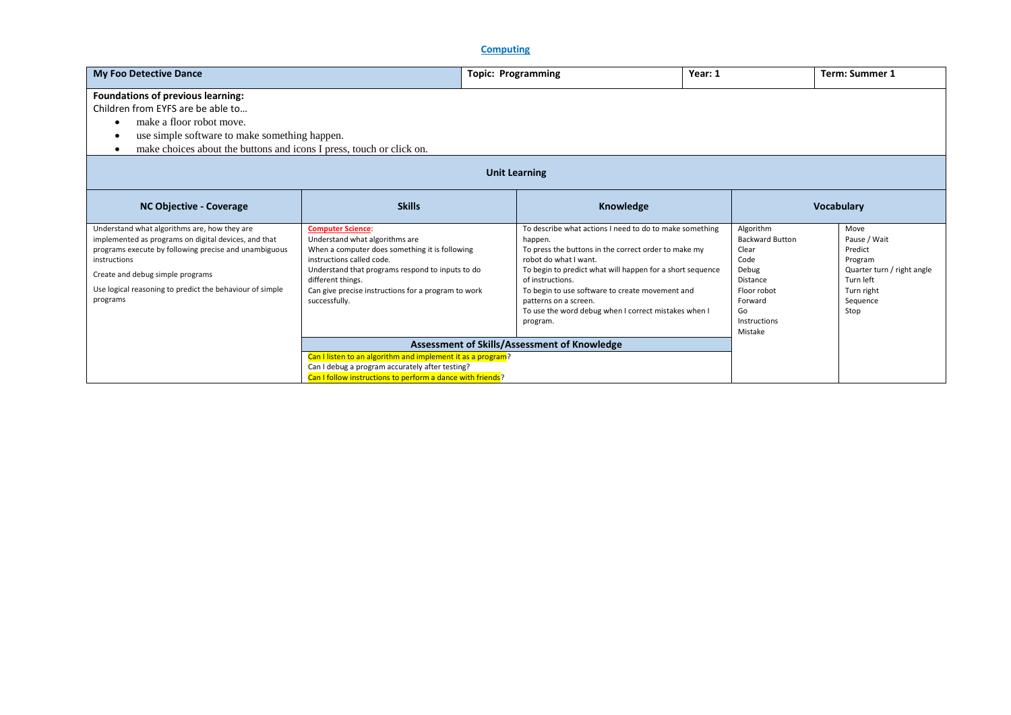**Computing**

| <b>My Foo Detective Dance</b>                                                                                                                                                                                                                                                             |                                                                                                                                                                                                                                                                                            | <b>Topic: Programming</b>                                                                                                                    | Year: 1                                                                                                                                                                                                                              |                                                                                                                                      | <b>Term: Summer 1</b>                                                                                                   |
|-------------------------------------------------------------------------------------------------------------------------------------------------------------------------------------------------------------------------------------------------------------------------------------------|--------------------------------------------------------------------------------------------------------------------------------------------------------------------------------------------------------------------------------------------------------------------------------------------|----------------------------------------------------------------------------------------------------------------------------------------------|--------------------------------------------------------------------------------------------------------------------------------------------------------------------------------------------------------------------------------------|--------------------------------------------------------------------------------------------------------------------------------------|-------------------------------------------------------------------------------------------------------------------------|
| <b>Foundations of previous learning:</b><br>Children from EYFS are be able to<br>make a floor robot move.<br>٠<br>use simple software to make something happen.<br>٠<br>make choices about the buttons and icons I press, touch or click on.<br>٠                                         |                                                                                                                                                                                                                                                                                            |                                                                                                                                              |                                                                                                                                                                                                                                      |                                                                                                                                      |                                                                                                                         |
| <b>Unit Learning</b>                                                                                                                                                                                                                                                                      |                                                                                                                                                                                                                                                                                            |                                                                                                                                              |                                                                                                                                                                                                                                      |                                                                                                                                      |                                                                                                                         |
| <b>NC Objective - Coverage</b>                                                                                                                                                                                                                                                            | <b>Skills</b>                                                                                                                                                                                                                                                                              |                                                                                                                                              | Knowledge                                                                                                                                                                                                                            |                                                                                                                                      | <b>Vocabulary</b>                                                                                                       |
| Understand what algorithms are, how they are<br>implemented as programs on digital devices, and that<br>programs execute by following precise and unambiguous<br>instructions<br>Create and debug simple programs<br>Use logical reasoning to predict the behaviour of simple<br>programs | <b>Computer Science:</b><br>Understand what algorithms are<br>When a computer does something it is following<br>instructions called code.<br>Understand that programs respond to inputs to do<br>different things.<br>Can give precise instructions for a program to work<br>successfully. | happen.<br>robot do what I want.<br>of instructions.<br>To begin to use software to create movement and<br>patterns on a screen.<br>program. | To describe what actions I need to do to make something<br>To press the buttons in the correct order to make my<br>To begin to predict what will happen for a short sequence<br>To use the word debug when I correct mistakes when I | Algorithm<br><b>Backward Button</b><br>Clear<br>Code<br>Debug<br>Distance<br>Floor robot<br>Forward<br>Go<br>Instructions<br>Mistake | Move<br>Pause / Wait<br>Predict<br>Program<br>Quarter turn / right angle<br>Turn left<br>Turn right<br>Sequence<br>Stop |
|                                                                                                                                                                                                                                                                                           |                                                                                                                                                                                                                                                                                            | Assessment of Skills/Assessment of Knowledge                                                                                                 |                                                                                                                                                                                                                                      |                                                                                                                                      |                                                                                                                         |
|                                                                                                                                                                                                                                                                                           | Can I listen to an algorithm and implement it as a program?<br>Can I debug a program accurately after testing?<br>Can I follow instructions to perform a dance with friends?                                                                                                               |                                                                                                                                              |                                                                                                                                                                                                                                      |                                                                                                                                      |                                                                                                                         |